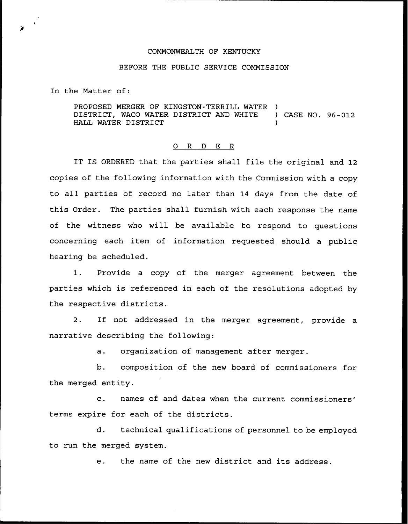## COMMONWEALTH OF KENTUCKY

## BEFORE THE PUBLIC SERVICE COMMISSION

In the Matter of:

PROPOSED MERGER OF KINGSTON-TERRILL WATER )<br>DISTRICT, WACO WATER DISTRICT AND WHITE ) CASE NO. 96-012 DISTRICT, WACO WATER DISTRICT AND WHITE HALL WATER DISTRICT

## 0 R <sup>D</sup> E R

IT IS ORDERED that the parties shall file the original and 12 copies of the following information with the Commission with a copy to all parties of record no later than 14 days from the date of this Order. The parties shall furnish with each response the name of the witness who will be available to respond to questions concerning each item of information requested should a public hearing be scheduled.

1. Provide <sup>a</sup> copy of the merger agreement between the parties which is referenced in each of the resolutions adopted by the respective districts.

2. If not addressed in the merger agreement, provide a narrative describing the following:

a. organization of management after merger.

b. composition of the new board of commissioners for the merged entity.

c. names of and dates when the current terms expire for each of the districts.

d. technical qualifications of personnel to be employed to run the merged system.

e. the name of the new district and its address.